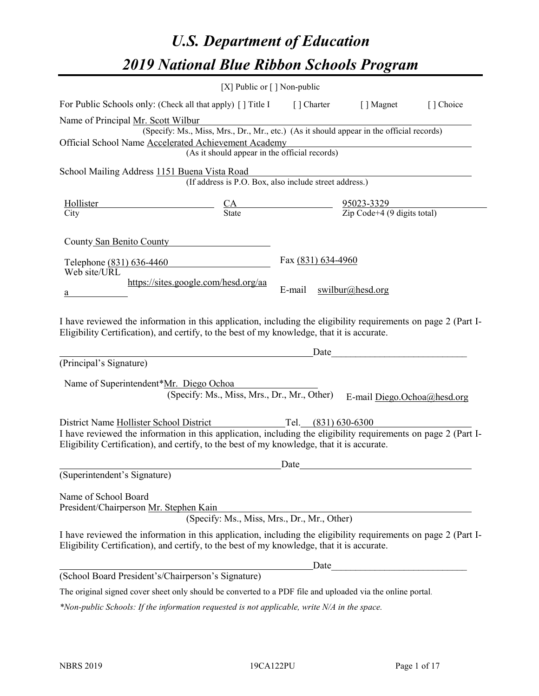# *U.S. Department of Education 2019 National Blue Ribbon Schools Program*

|                                                                                                                                                                                                                                                         | [X] Public or $\lceil$ ] Non-public                                                      |                     |                                                                                                                      |           |
|---------------------------------------------------------------------------------------------------------------------------------------------------------------------------------------------------------------------------------------------------------|------------------------------------------------------------------------------------------|---------------------|----------------------------------------------------------------------------------------------------------------------|-----------|
| For Public Schools only: (Check all that apply) [] Title I [] Charter [] Magnet                                                                                                                                                                         |                                                                                          |                     |                                                                                                                      | [] Choice |
| Name of Principal Mr. Scott Wilbur                                                                                                                                                                                                                      | (Specify: Ms., Miss, Mrs., Dr., Mr., etc.) (As it should appear in the official records) |                     |                                                                                                                      |           |
| Official School Name Accelerated Achievement Academy                                                                                                                                                                                                    | (As it should appear in the official records)                                            |                     | <u> 1980 - Johann Barn, amerikan besteman besteman besteman besteman besteman besteman besteman besteman bestema</u> |           |
| School Mailing Address 1151 Buena Vista Road                                                                                                                                                                                                            | (If address is P.O. Box, also include street address.)                                   |                     |                                                                                                                      |           |
| Hollister<br>$\frac{CA}{State}$ $\frac{95023-3329}{Zip Code+4 (9 digits total)}$<br>City                                                                                                                                                                |                                                                                          |                     |                                                                                                                      |           |
| County San Benito County                                                                                                                                                                                                                                |                                                                                          |                     |                                                                                                                      |           |
| Telephone (831) 636-4460<br>Web site/URL                                                                                                                                                                                                                |                                                                                          | Fax (831) 634-4960  |                                                                                                                      |           |
| https://sites.google.com/hesd.org/aa<br>a                                                                                                                                                                                                               |                                                                                          | E-mail              | swilbur@head.org                                                                                                     |           |
| I have reviewed the information in this application, including the eligibility requirements on page 2 (Part I-<br>Eligibility Certification), and certify, to the best of my knowledge, that it is accurate.                                            |                                                                                          |                     |                                                                                                                      |           |
|                                                                                                                                                                                                                                                         |                                                                                          |                     | Date                                                                                                                 |           |
| (Principal's Signature)                                                                                                                                                                                                                                 |                                                                                          |                     |                                                                                                                      |           |
| Name of Superintendent*Mr. Diego Ochoa                                                                                                                                                                                                                  | (Specify: Ms., Miss, Mrs., Dr., Mr., Other)                                              |                     | E-mail Diego.Ochoa@hesd.org                                                                                          |           |
| District Name Hollister School District<br>I have reviewed the information in this application, including the eligibility requirements on page 2 (Part I-<br>Eligibility Certification), and certify, to the best of my knowledge, that it is accurate. |                                                                                          | Tel. (831) 630-6300 |                                                                                                                      |           |
|                                                                                                                                                                                                                                                         |                                                                                          | Date                |                                                                                                                      |           |
| (Superintendent's Signature)                                                                                                                                                                                                                            |                                                                                          |                     |                                                                                                                      |           |
| Name of School Board<br>President/Chairperson Mr. Stephen Kain                                                                                                                                                                                          | (Specify: Ms., Miss, Mrs., Dr., Mr., Other)                                              |                     |                                                                                                                      |           |
| I have reviewed the information in this application, including the eligibility requirements on page 2 (Part I-<br>Eligibility Certification), and certify, to the best of my knowledge, that it is accurate.                                            |                                                                                          |                     |                                                                                                                      |           |
|                                                                                                                                                                                                                                                         |                                                                                          | Date                |                                                                                                                      |           |
| (School Board President's/Chairperson's Signature)                                                                                                                                                                                                      |                                                                                          |                     |                                                                                                                      |           |
| The original signed cover sheet only should be converted to a PDF file and uploaded via the online portal.                                                                                                                                              |                                                                                          |                     |                                                                                                                      |           |

*\*Non-public Schools: If the information requested is not applicable, write N/A in the space.*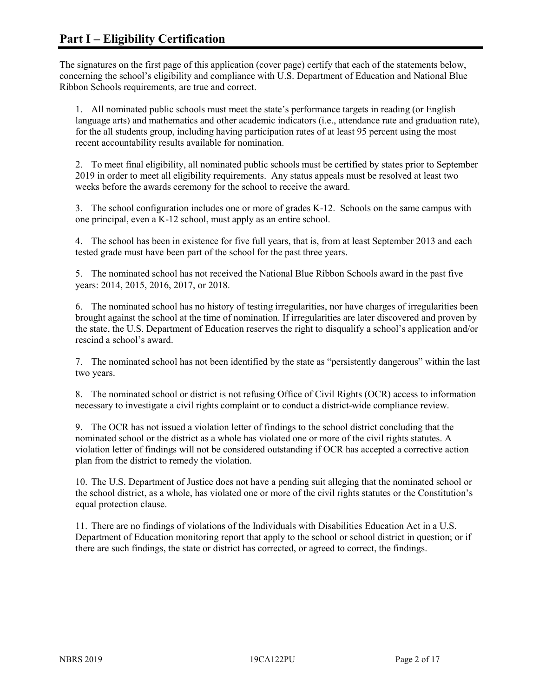The signatures on the first page of this application (cover page) certify that each of the statements below, concerning the school's eligibility and compliance with U.S. Department of Education and National Blue Ribbon Schools requirements, are true and correct.

1. All nominated public schools must meet the state's performance targets in reading (or English language arts) and mathematics and other academic indicators (i.e., attendance rate and graduation rate), for the all students group, including having participation rates of at least 95 percent using the most recent accountability results available for nomination.

2. To meet final eligibility, all nominated public schools must be certified by states prior to September 2019 in order to meet all eligibility requirements. Any status appeals must be resolved at least two weeks before the awards ceremony for the school to receive the award.

3. The school configuration includes one or more of grades K-12. Schools on the same campus with one principal, even a K-12 school, must apply as an entire school.

4. The school has been in existence for five full years, that is, from at least September 2013 and each tested grade must have been part of the school for the past three years.

5. The nominated school has not received the National Blue Ribbon Schools award in the past five years: 2014, 2015, 2016, 2017, or 2018.

6. The nominated school has no history of testing irregularities, nor have charges of irregularities been brought against the school at the time of nomination. If irregularities are later discovered and proven by the state, the U.S. Department of Education reserves the right to disqualify a school's application and/or rescind a school's award.

7. The nominated school has not been identified by the state as "persistently dangerous" within the last two years.

8. The nominated school or district is not refusing Office of Civil Rights (OCR) access to information necessary to investigate a civil rights complaint or to conduct a district-wide compliance review.

9. The OCR has not issued a violation letter of findings to the school district concluding that the nominated school or the district as a whole has violated one or more of the civil rights statutes. A violation letter of findings will not be considered outstanding if OCR has accepted a corrective action plan from the district to remedy the violation.

10. The U.S. Department of Justice does not have a pending suit alleging that the nominated school or the school district, as a whole, has violated one or more of the civil rights statutes or the Constitution's equal protection clause.

11. There are no findings of violations of the Individuals with Disabilities Education Act in a U.S. Department of Education monitoring report that apply to the school or school district in question; or if there are such findings, the state or district has corrected, or agreed to correct, the findings.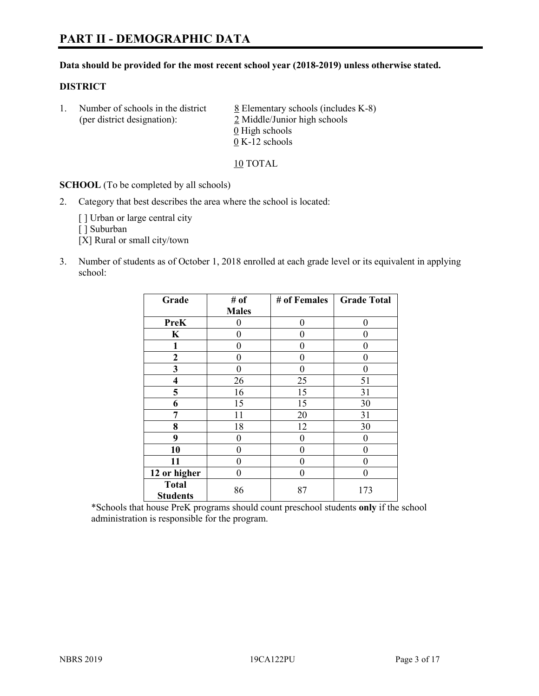#### **Data should be provided for the most recent school year (2018-2019) unless otherwise stated.**

## **DISTRICT**

1. Number of schools in the district  $8$  Elementary schools (includes K-8) (per district designation): 2 Middle/Junior high schools  $\underline{0}$  High schools 0 K-12 schools

10 TOTAL

**SCHOOL** (To be completed by all schools)

2. Category that best describes the area where the school is located:

[ ] Urban or large central city

[ ] Suburban

[X] Rural or small city/town

3. Number of students as of October 1, 2018 enrolled at each grade level or its equivalent in applying school:

| Grade                           | # of         | # of Females | <b>Grade Total</b> |
|---------------------------------|--------------|--------------|--------------------|
|                                 | <b>Males</b> |              |                    |
| <b>PreK</b>                     | 0            | $\theta$     | 0                  |
| $\mathbf K$                     | 0            | 0            | 0                  |
| 1                               | 0            | 0            | 0                  |
| 2                               | 0            | 0            | 0                  |
| 3                               | $\theta$     | 0            | 0                  |
| $\overline{\mathbf{4}}$         | 26           | 25           | 51                 |
| 5                               | 16           | 15           | 31                 |
| 6                               | 15           | 15           | 30                 |
| 7                               | 11           | 20           | 31                 |
| 8                               | 18           | 12           | 30                 |
| 9                               | 0            | $\theta$     | 0                  |
| 10                              | 0            | $\theta$     | 0                  |
| 11                              | $\theta$     | 0            | 0                  |
| 12 or higher                    | 0            | 0            | 0                  |
| <b>Total</b><br><b>Students</b> | 86           | 87           | 173                |

\*Schools that house PreK programs should count preschool students **only** if the school administration is responsible for the program.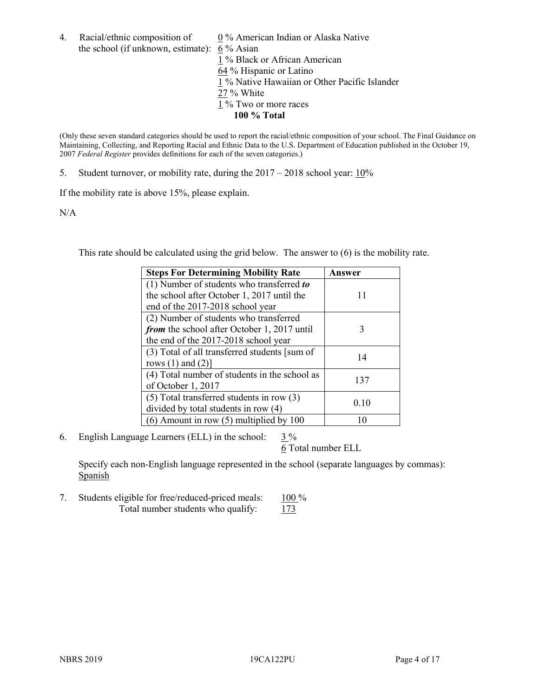4. Racial/ethnic composition of  $0\%$  American Indian or Alaska Native the school (if unknown, estimate): 6 % Asian 1 % Black or African American 64 % Hispanic or Latino 1 % Native Hawaiian or Other Pacific Islander 27 % White  $1\%$  Two or more races **100 % Total**

(Only these seven standard categories should be used to report the racial/ethnic composition of your school. The Final Guidance on Maintaining, Collecting, and Reporting Racial and Ethnic Data to the U.S. Department of Education published in the October 19, 2007 *Federal Register* provides definitions for each of the seven categories.)

5. Student turnover, or mobility rate, during the 2017 – 2018 school year: 10%

If the mobility rate is above 15%, please explain.

N/A

This rate should be calculated using the grid below. The answer to (6) is the mobility rate.

| <b>Steps For Determining Mobility Rate</b>    | Answer |  |
|-----------------------------------------------|--------|--|
| (1) Number of students who transferred to     |        |  |
| the school after October 1, 2017 until the    | 11     |  |
| end of the 2017-2018 school year              |        |  |
| (2) Number of students who transferred        |        |  |
| from the school after October 1, 2017 until   | 3      |  |
| the end of the 2017-2018 school year          |        |  |
| (3) Total of all transferred students [sum of | 14     |  |
| rows $(1)$ and $(2)$ ]                        |        |  |
| (4) Total number of students in the school as |        |  |
| of October 1, 2017                            | 137    |  |
| $(5)$ Total transferred students in row $(3)$ |        |  |
| divided by total students in row (4)          | 0.10   |  |
| (6) Amount in row (5) multiplied by 100       |        |  |

6. English Language Learners (ELL) in the school:  $3\%$ 

6 Total number ELL

Specify each non-English language represented in the school (separate languages by commas): **Spanish** 

7. Students eligible for free/reduced-priced meals: 100 % Total number students who qualify:  $173$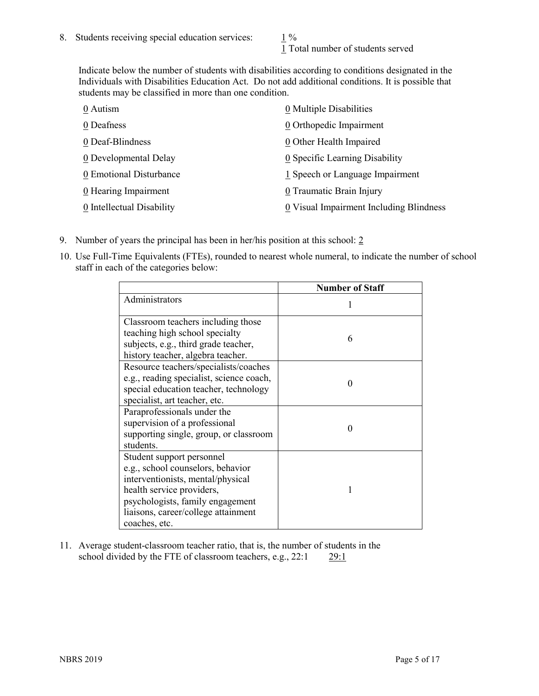1 Total number of students served

Indicate below the number of students with disabilities according to conditions designated in the Individuals with Disabilities Education Act. Do not add additional conditions. It is possible that students may be classified in more than one condition.

| 0 Autism                  | $\underline{0}$ Multiple Disabilities   |
|---------------------------|-----------------------------------------|
| 0 Deafness                | 0 Orthopedic Impairment                 |
| 0 Deaf-Blindness          | 0 Other Health Impaired                 |
| 0 Developmental Delay     | 0 Specific Learning Disability          |
| 0 Emotional Disturbance   | 1 Speech or Language Impairment         |
| 0 Hearing Impairment      | 0 Traumatic Brain Injury                |
| 0 Intellectual Disability | 0 Visual Impairment Including Blindness |

- 9. Number of years the principal has been in her/his position at this school: 2
- 10. Use Full-Time Equivalents (FTEs), rounded to nearest whole numeral, to indicate the number of school staff in each of the categories below:

|                                                                                                                                                                                                                              | <b>Number of Staff</b> |
|------------------------------------------------------------------------------------------------------------------------------------------------------------------------------------------------------------------------------|------------------------|
| Administrators                                                                                                                                                                                                               |                        |
| Classroom teachers including those<br>teaching high school specialty<br>subjects, e.g., third grade teacher,<br>history teacher, algebra teacher.                                                                            | 6                      |
| Resource teachers/specialists/coaches<br>e.g., reading specialist, science coach,<br>special education teacher, technology<br>specialist, art teacher, etc.                                                                  |                        |
| Paraprofessionals under the<br>supervision of a professional<br>supporting single, group, or classroom<br>students.                                                                                                          | 0                      |
| Student support personnel<br>e.g., school counselors, behavior<br>interventionists, mental/physical<br>health service providers,<br>psychologists, family engagement<br>liaisons, career/college attainment<br>coaches, etc. |                        |

11. Average student-classroom teacher ratio, that is, the number of students in the school divided by the FTE of classroom teachers, e.g., 22:1 29:1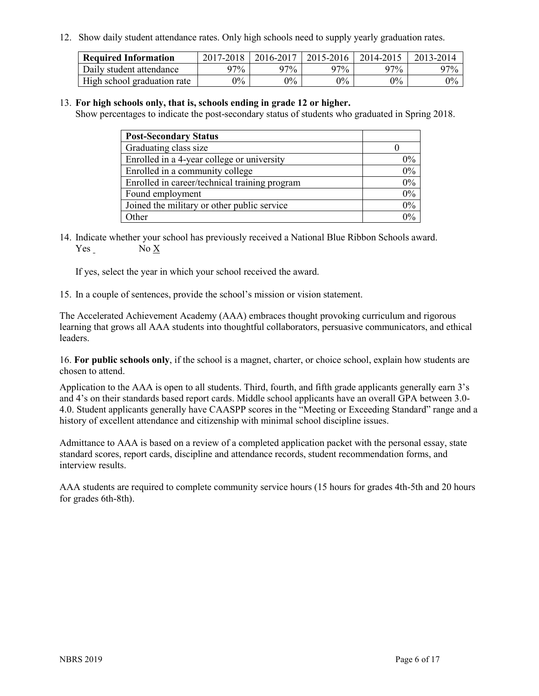12. Show daily student attendance rates. Only high schools need to supply yearly graduation rates.

| <b>Required Information</b> | $2017 - 2018$ | 2016-2017 | 2015-2016 | 2014-2015 | 2013-2014 |
|-----------------------------|---------------|-----------|-----------|-----------|-----------|
| Daily student attendance    | 97%           | 97%       | 97%       | 97%       | $97\%$    |
| High school graduation rate | $0\%$         | $0\%$     | $0\%$     | 9%        | $0\%$     |

#### 13. **For high schools only, that is, schools ending in grade 12 or higher.**

Show percentages to indicate the post-secondary status of students who graduated in Spring 2018.

| <b>Post-Secondary Status</b>                  |          |
|-----------------------------------------------|----------|
| Graduating class size                         |          |
| Enrolled in a 4-year college or university    | $0\%$    |
| Enrolled in a community college               | 0%       |
| Enrolled in career/technical training program | $0\%$    |
| Found employment                              | 0%       |
| Joined the military or other public service   | 0%       |
| Other                                         | $\gamma$ |

14. Indicate whether your school has previously received a National Blue Ribbon Schools award. Yes No X

If yes, select the year in which your school received the award.

15. In a couple of sentences, provide the school's mission or vision statement.

The Accelerated Achievement Academy (AAA) embraces thought provoking curriculum and rigorous learning that grows all AAA students into thoughtful collaborators, persuasive communicators, and ethical leaders.

16. **For public schools only**, if the school is a magnet, charter, or choice school, explain how students are chosen to attend.

Application to the AAA is open to all students. Third, fourth, and fifth grade applicants generally earn 3's and 4's on their standards based report cards. Middle school applicants have an overall GPA between 3.0‐ 4.0. Student applicants generally have CAASPP scores in the "Meeting or Exceeding Standard" range and a history of excellent attendance and citizenship with minimal school discipline issues.

Admittance to AAA is based on a review of a completed application packet with the personal essay, state standard scores, report cards, discipline and attendance records, student recommendation forms, and interview results.

AAA students are required to complete community service hours (15 hours for grades 4th‐5th and 20 hours for grades 6th‐8th).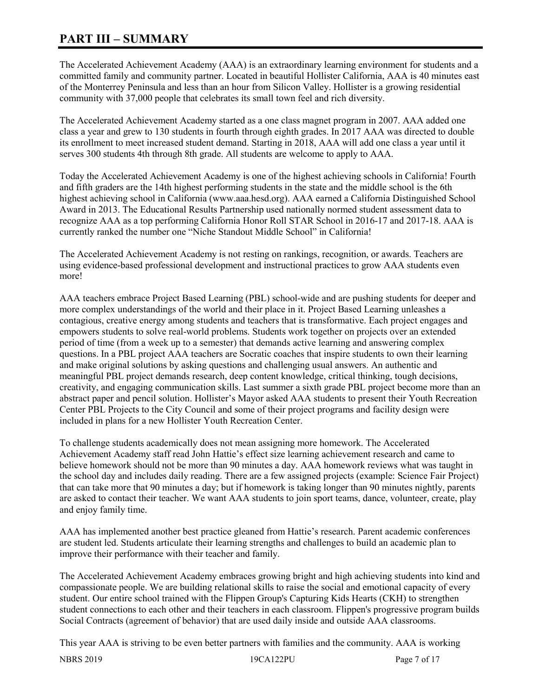## **PART III – SUMMARY**

The Accelerated Achievement Academy (AAA) is an extraordinary learning environment for students and a committed family and community partner. Located in beautiful Hollister California, AAA is 40 minutes east of the Monterrey Peninsula and less than an hour from Silicon Valley. Hollister is a growing residential community with 37,000 people that celebrates its small town feel and rich diversity.

The Accelerated Achievement Academy started as a one class magnet program in 2007. AAA added one class a year and grew to 130 students in fourth through eighth grades. In 2017 AAA was directed to double its enrollment to meet increased student demand. Starting in 2018, AAA will add one class a year until it serves 300 students 4th through 8th grade. All students are welcome to apply to AAA.

Today the Accelerated Achievement Academy is one of the highest achieving schools in California! Fourth and fifth graders are the 14th highest performing students in the state and the middle school is the 6th highest achieving school in California (www.aaa.hesd.org). AAA earned a California Distinguished School Award in 2013. The Educational Results Partnership used nationally normed student assessment data to recognize AAA as a top performing California Honor Roll STAR School in 2016-17 and 2017-18. AAA is currently ranked the number one "Niche Standout Middle School" in California!

The Accelerated Achievement Academy is not resting on rankings, recognition, or awards. Teachers are using evidence-based professional development and instructional practices to grow AAA students even more!

AAA teachers embrace Project Based Learning (PBL) school-wide and are pushing students for deeper and more complex understandings of the world and their place in it. Project Based Learning unleashes a contagious, creative energy among students and teachers that is transformative. Each project engages and empowers students to solve real-world problems. Students work together on projects over an extended period of time (from a week up to a semester) that demands active learning and answering complex questions. In a PBL project AAA teachers are Socratic coaches that inspire students to own their learning and make original solutions by asking questions and challenging usual answers. An authentic and meaningful PBL project demands research, deep content knowledge, critical thinking, tough decisions, creativity, and engaging communication skills. Last summer a sixth grade PBL project become more than an abstract paper and pencil solution. Hollister's Mayor asked AAA students to present their Youth Recreation Center PBL Projects to the City Council and some of their project programs and facility design were included in plans for a new Hollister Youth Recreation Center.

To challenge students academically does not mean assigning more homework. The Accelerated Achievement Academy staff read John Hattie's effect size learning achievement research and came to believe homework should not be more than 90 minutes a day. AAA homework reviews what was taught in the school day and includes daily reading. There are a few assigned projects (example: Science Fair Project) that can take more that 90 minutes a day; but if homework is taking longer than 90 minutes nightly, parents are asked to contact their teacher. We want AAA students to join sport teams, dance, volunteer, create, play and enjoy family time.

AAA has implemented another best practice gleaned from Hattie's research. Parent academic conferences are student led. Students articulate their learning strengths and challenges to build an academic plan to improve their performance with their teacher and family.

The Accelerated Achievement Academy embraces growing bright and high achieving students into kind and compassionate people. We are building relational skills to raise the social and emotional capacity of every student. Our entire school trained with the Flippen Group's Capturing Kids Hearts (CKH) to strengthen student connections to each other and their teachers in each classroom. Flippen's progressive program builds Social Contracts (agreement of behavior) that are used daily inside and outside AAA classrooms.

This year AAA is striving to be even better partners with families and the community. AAA is working

NBRS 2019 19CA122PU Page 7 of 17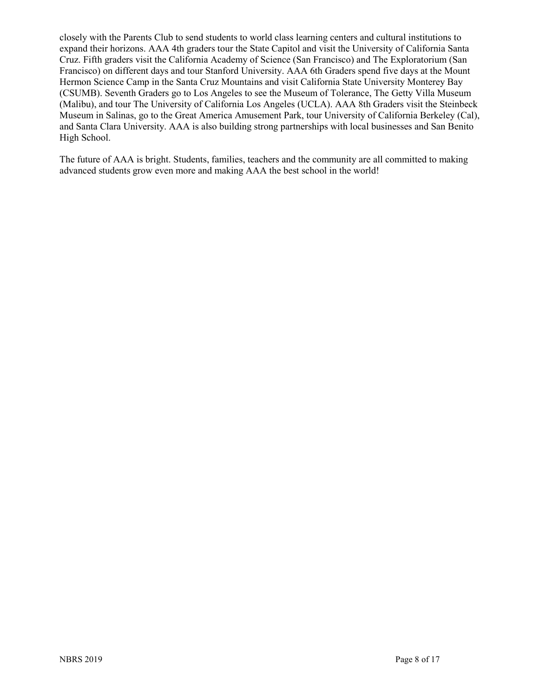closely with the Parents Club to send students to world class learning centers and cultural institutions to expand their horizons. AAA 4th graders tour the State Capitol and visit the University of California Santa Cruz. Fifth graders visit the California Academy of Science (San Francisco) and The Exploratorium (San Francisco) on different days and tour Stanford University. AAA 6th Graders spend five days at the Mount Hermon Science Camp in the Santa Cruz Mountains and visit California State University Monterey Bay (CSUMB). Seventh Graders go to Los Angeles to see the Museum of Tolerance, The Getty Villa Museum (Malibu), and tour The University of California Los Angeles (UCLA). AAA 8th Graders visit the Steinbeck Museum in Salinas, go to the Great America Amusement Park, tour University of California Berkeley (Cal), and Santa Clara University. AAA is also building strong partnerships with local businesses and San Benito High School.

The future of AAA is bright. Students, families, teachers and the community are all committed to making advanced students grow even more and making AAA the best school in the world!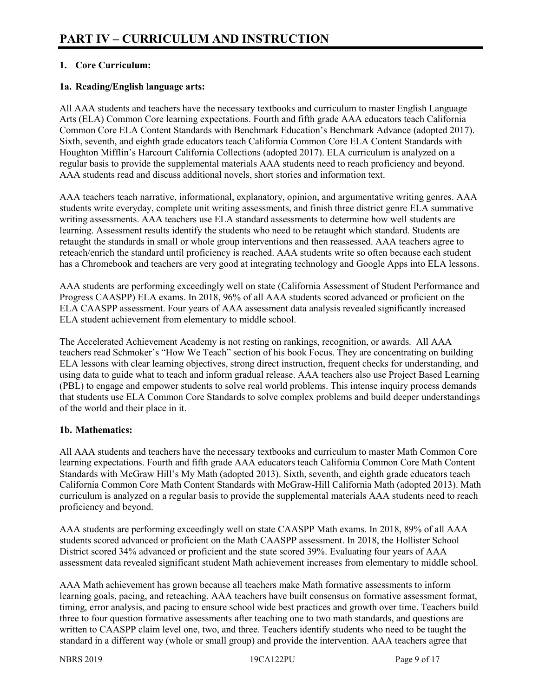## **1. Core Curriculum:**

## **1a. Reading/English language arts:**

All AAA students and teachers have the necessary textbooks and curriculum to master English Language Arts (ELA) Common Core learning expectations. Fourth and fifth grade AAA educators teach California Common Core ELA Content Standards with Benchmark Education's Benchmark Advance (adopted 2017). Sixth, seventh, and eighth grade educators teach California Common Core ELA Content Standards with Houghton Mifflin's Harcourt California Collections (adopted 2017). ELA curriculum is analyzed on a regular basis to provide the supplemental materials AAA students need to reach proficiency and beyond. AAA students read and discuss additional novels, short stories and information text.

AAA teachers teach narrative, informational, explanatory, opinion, and argumentative writing genres. AAA students write everyday, complete unit writing assessments, and finish three district genre ELA summative writing assessments. AAA teachers use ELA standard assessments to determine how well students are learning. Assessment results identify the students who need to be retaught which standard. Students are retaught the standards in small or whole group interventions and then reassessed. AAA teachers agree to reteach/enrich the standard until proficiency is reached. AAA students write so often because each student has a Chromebook and teachers are very good at integrating technology and Google Apps into ELA lessons.

AAA students are performing exceedingly well on state (California Assessment of Student Performance and Progress CAASPP) ELA exams. In 2018, 96% of all AAA students scored advanced or proficient on the ELA CAASPP assessment. Four years of AAA assessment data analysis revealed significantly increased ELA student achievement from elementary to middle school.

The Accelerated Achievement Academy is not resting on rankings, recognition, or awards. All AAA teachers read Schmoker's "How We Teach" section of his book Focus. They are concentrating on building ELA lessons with clear learning objectives, strong direct instruction, frequent checks for understanding, and using data to guide what to teach and inform gradual release. AAA teachers also use Project Based Learning (PBL) to engage and empower students to solve real world problems. This intense inquiry process demands that students use ELA Common Core Standards to solve complex problems and build deeper understandings of the world and their place in it.

## **1b. Mathematics:**

All AAA students and teachers have the necessary textbooks and curriculum to master Math Common Core learning expectations. Fourth and fifth grade AAA educators teach California Common Core Math Content Standards with McGraw Hill's My Math (adopted 2013). Sixth, seventh, and eighth grade educators teach California Common Core Math Content Standards with McGraw-Hill California Math (adopted 2013). Math curriculum is analyzed on a regular basis to provide the supplemental materials AAA students need to reach proficiency and beyond.

AAA students are performing exceedingly well on state CAASPP Math exams. In 2018, 89% of all AAA students scored advanced or proficient on the Math CAASPP assessment. In 2018, the Hollister School District scored 34% advanced or proficient and the state scored 39%. Evaluating four years of AAA assessment data revealed significant student Math achievement increases from elementary to middle school.

AAA Math achievement has grown because all teachers make Math formative assessments to inform learning goals, pacing, and reteaching. AAA teachers have built consensus on formative assessment format, timing, error analysis, and pacing to ensure school wide best practices and growth over time. Teachers build three to four question formative assessments after teaching one to two math standards, and questions are written to CAASPP claim level one, two, and three. Teachers identify students who need to be taught the standard in a different way (whole or small group) and provide the intervention. AAA teachers agree that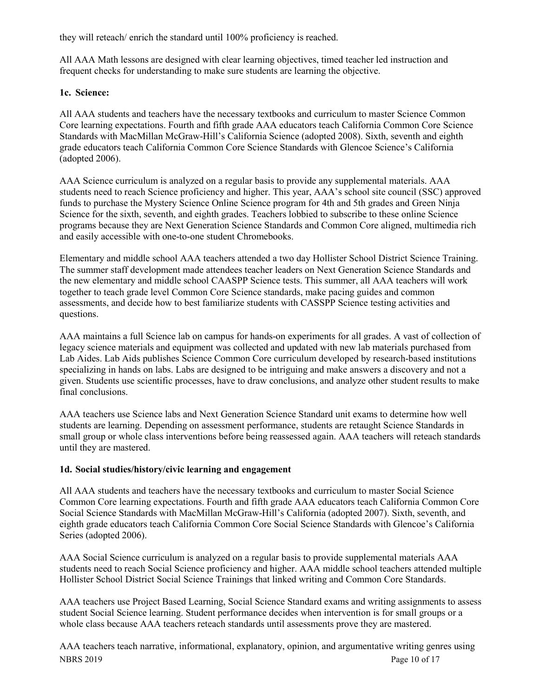they will reteach/ enrich the standard until 100% proficiency is reached.

All AAA Math lessons are designed with clear learning objectives, timed teacher led instruction and frequent checks for understanding to make sure students are learning the objective.

## **1c. Science:**

All AAA students and teachers have the necessary textbooks and curriculum to master Science Common Core learning expectations. Fourth and fifth grade AAA educators teach California Common Core Science Standards with MacMillan McGraw-Hill's California Science (adopted 2008). Sixth, seventh and eighth grade educators teach California Common Core Science Standards with Glencoe Science's California (adopted 2006).

AAA Science curriculum is analyzed on a regular basis to provide any supplemental materials. AAA students need to reach Science proficiency and higher. This year, AAA's school site council (SSC) approved funds to purchase the Mystery Science Online Science program for 4th and 5th grades and Green Ninja Science for the sixth, seventh, and eighth grades. Teachers lobbied to subscribe to these online Science programs because they are Next Generation Science Standards and Common Core aligned, multimedia rich and easily accessible with one-to-one student Chromebooks.

Elementary and middle school AAA teachers attended a two day Hollister School District Science Training. The summer staff development made attendees teacher leaders on Next Generation Science Standards and the new elementary and middle school CAASPP Science tests. This summer, all AAA teachers will work together to teach grade level Common Core Science standards, make pacing guides and common assessments, and decide how to best familiarize students with CASSPP Science testing activities and questions.

AAA maintains a full Science lab on campus for hands-on experiments for all grades. A vast of collection of legacy science materials and equipment was collected and updated with new lab materials purchased from Lab Aides. Lab Aids publishes Science Common Core curriculum developed by research-based institutions specializing in hands on labs. Labs are designed to be intriguing and make answers a discovery and not a given. Students use scientific processes, have to draw conclusions, and analyze other student results to make final conclusions.

AAA teachers use Science labs and Next Generation Science Standard unit exams to determine how well students are learning. Depending on assessment performance, students are retaught Science Standards in small group or whole class interventions before being reassessed again. AAA teachers will reteach standards until they are mastered.

## **1d. Social studies/history/civic learning and engagement**

All AAA students and teachers have the necessary textbooks and curriculum to master Social Science Common Core learning expectations. Fourth and fifth grade AAA educators teach California Common Core Social Science Standards with MacMillan McGraw-Hill's California (adopted 2007). Sixth, seventh, and eighth grade educators teach California Common Core Social Science Standards with Glencoe's California Series (adopted 2006).

AAA Social Science curriculum is analyzed on a regular basis to provide supplemental materials AAA students need to reach Social Science proficiency and higher. AAA middle school teachers attended multiple Hollister School District Social Science Trainings that linked writing and Common Core Standards.

AAA teachers use Project Based Learning, Social Science Standard exams and writing assignments to assess student Social Science learning. Student performance decides when intervention is for small groups or a whole class because AAA teachers reteach standards until assessments prove they are mastered.

NBRS 2019 Page 10 of 17 AAA teachers teach narrative, informational, explanatory, opinion, and argumentative writing genres using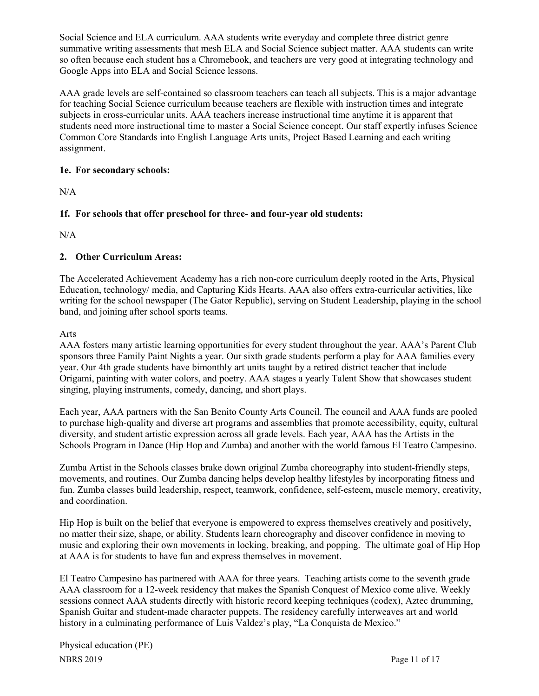Social Science and ELA curriculum. AAA students write everyday and complete three district genre summative writing assessments that mesh ELA and Social Science subject matter. AAA students can write so often because each student has a Chromebook, and teachers are very good at integrating technology and Google Apps into ELA and Social Science lessons.

AAA grade levels are self-contained so classroom teachers can teach all subjects. This is a major advantage for teaching Social Science curriculum because teachers are flexible with instruction times and integrate subjects in cross-curricular units. AAA teachers increase instructional time anytime it is apparent that students need more instructional time to master a Social Science concept. Our staff expertly infuses Science Common Core Standards into English Language Arts units, Project Based Learning and each writing assignment.

## **1e. For secondary schools:**

N/A

## **1f. For schools that offer preschool for three- and four-year old students:**

 $N/A$ 

## **2. Other Curriculum Areas:**

The Accelerated Achievement Academy has a rich non-core curriculum deeply rooted in the Arts, Physical Education, technology/ media, and Capturing Kids Hearts. AAA also offers extra-curricular activities, like writing for the school newspaper (The Gator Republic), serving on Student Leadership, playing in the school band, and joining after school sports teams.

## Arts

AAA fosters many artistic learning opportunities for every student throughout the year. AAA's Parent Club sponsors three Family Paint Nights a year. Our sixth grade students perform a play for AAA families every year. Our 4th grade students have bimonthly art units taught by a retired district teacher that include Origami, painting with water colors, and poetry. AAA stages a yearly Talent Show that showcases student singing, playing instruments, comedy, dancing, and short plays.

Each year, AAA partners with the San Benito County Arts Council. The council and AAA funds are pooled to purchase high-quality and diverse art programs and assemblies that promote accessibility, equity, cultural diversity, and student artistic expression across all grade levels. Each year, AAA has the Artists in the Schools Program in Dance (Hip Hop and Zumba) and another with the world famous El Teatro Campesino.

Zumba Artist in the Schools classes brake down original Zumba choreography into student-friendly steps, movements, and routines. Our Zumba dancing helps develop healthy lifestyles by incorporating fitness and fun. Zumba classes build leadership, respect, teamwork, confidence, self-esteem, muscle memory, creativity, and coordination.

Hip Hop is built on the belief that everyone is empowered to express themselves creatively and positively, no matter their size, shape, or ability. Students learn choreography and discover confidence in moving to music and exploring their own movements in locking, breaking, and popping. The ultimate goal of Hip Hop at AAA is for students to have fun and express themselves in movement.

El Teatro Campesino has partnered with AAA for three years. Teaching artists come to the seventh grade AAA classroom for a 12-week residency that makes the Spanish Conquest of Mexico come alive. Weekly sessions connect AAA students directly with historic record keeping techniques (codex), Aztec drumming, Spanish Guitar and student-made character puppets. The residency carefully interweaves art and world history in a culminating performance of Luis Valdez's play, "La Conquista de Mexico."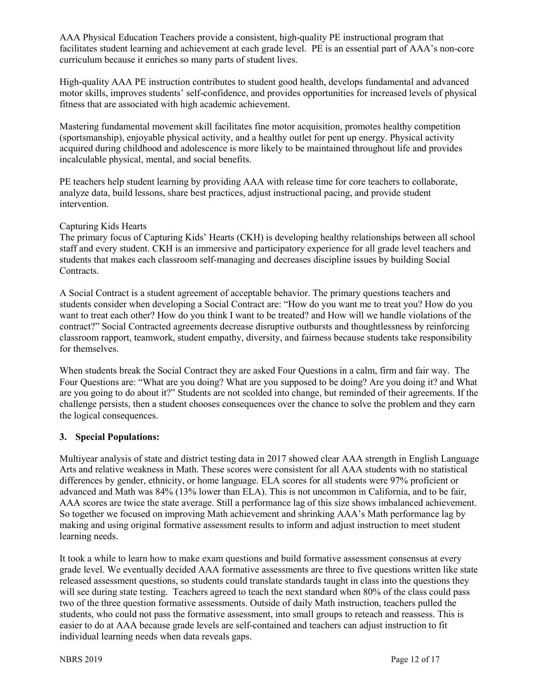AAA Physical Education Teachers provide a consistent, high-quality PE instructional program that facilitates student learning and achievement at each grade level. PE is an essential part of AAA's non-core curriculum because it enriches so many parts of student lives.

High-quality AAA PE instruction contributes to student good health, develops fundamental and advanced motor skills, improves students' self-confidence, and provides opportunities for increased levels of physical fitness that are associated with high academic achievement.

Mastering fundamental movement skill facilitates fine motor acquisition, promotes healthy competition (sportsmanship), enjoyable physical activity, and a healthy outlet for pent up energy. Physical activity acquired during childhood and adolescence is more likely to be maintained throughout life and provides incalculable physical, mental, and social benefits.

PE teachers help student learning by providing AAA with release time for core teachers to collaborate, analyze data, build lessons, share best practices, adjust instructional pacing, and provide student intervention.

## Capturing Kids Hearts

The primary focus of Capturing Kids' Hearts (CKH) is developing healthy relationships between all school staff and every student. CKH is an immersive and participatory experience for all grade level teachers and students that makes each classroom self-managing and decreases discipline issues by building Social Contracts.

A Social Contract is a student agreement of acceptable behavior. The primary questions teachers and students consider when developing a Social Contract are: "How do you want me to treat you? How do you want to treat each other? How do you think I want to be treated? and How will we handle violations of the contract?" Social Contracted agreements decrease disruptive outbursts and thoughtlessness by reinforcing classroom rapport, teamwork, student empathy, diversity, and fairness because students take responsibility for themselves.

When students break the Social Contract they are asked Four Questions in a calm, firm and fair way. The Four Questions are: "What are you doing? What are you supposed to be doing? Are you doing it? and What are you going to do about it?" Students are not scolded into change, but reminded of their agreements. If the challenge persists, then a student chooses consequences over the chance to solve the problem and they earn the logical consequences.

## **3. Special Populations:**

Multiyear analysis of state and district testing data in 2017 showed clear AAA strength in English Language Arts and relative weakness in Math. These scores were consistent for all AAA students with no statistical differences by gender, ethnicity, or home language. ELA scores for all students were 97% proficient or advanced and Math was 84% (13% lower than ELA). This is not uncommon in California, and to be fair, AAA scores are twice the state average. Still a performance lag of this size shows imbalanced achievement. So together we focused on improving Math achievement and shrinking AAA's Math performance lag by making and using original formative assessment results to inform and adjust instruction to meet student learning needs.

It took a while to learn how to make exam questions and build formative assessment consensus at every grade level. We eventually decided AAA formative assessments are three to five questions written like state released assessment questions, so students could translate standards taught in class into the questions they will see during state testing. Teachers agreed to teach the next standard when 80% of the class could pass two of the three question formative assessments. Outside of daily Math instruction, teachers pulled the students, who could not pass the formative assessment, into small groups to reteach and reassess. This is easier to do at AAA because grade levels are self-contained and teachers can adjust instruction to fit individual learning needs when data reveals gaps.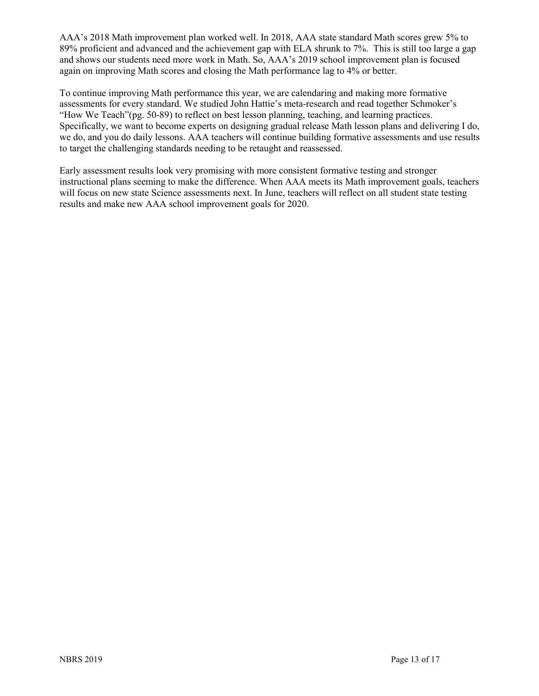AAA's 2018 Math improvement plan worked well. In 2018, AAA state standard Math scores grew 5% to 89% proficient and advanced and the achievement gap with ELA shrunk to 7%. This is still too large a gap and shows our students need more work in Math. So, AAA's 2019 school improvement plan is focused again on improving Math scores and closing the Math performance lag to 4% or better.

To continue improving Math performance this year, we are calendaring and making more formative assessments for every standard. We studied John Hattie's meta-research and read together Schmoker's "How We Teach"(pg. 50-89) to reflect on best lesson planning, teaching, and learning practices. Specifically, we want to become experts on designing gradual release Math lesson plans and delivering I do, we do, and you do daily lessons. AAA teachers will continue building formative assessments and use results to target the challenging standards needing to be retaught and reassessed.

Early assessment results look very promising with more consistent formative testing and stronger instructional plans seeming to make the difference. When AAA meets its Math improvement goals, teachers will focus on new state Science assessments next. In June, teachers will reflect on all student state testing results and make new AAA school improvement goals for 2020.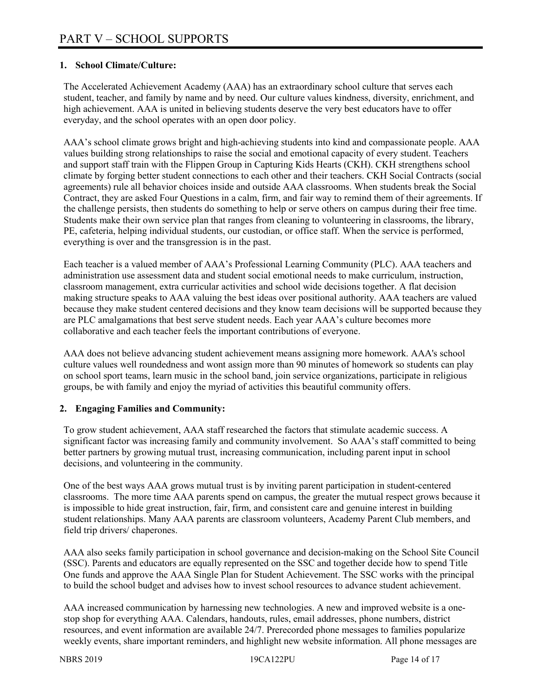## **1. School Climate/Culture:**

The Accelerated Achievement Academy (AAA) has an extraordinary school culture that serves each student, teacher, and family by name and by need. Our culture values kindness, diversity, enrichment, and high achievement. AAA is united in believing students deserve the very best educators have to offer everyday, and the school operates with an open door policy.

AAA's school climate grows bright and high-achieving students into kind and compassionate people. AAA values building strong relationships to raise the social and emotional capacity of every student. Teachers and support staff train with the Flippen Group in Capturing Kids Hearts (CKH). CKH strengthens school climate by forging better student connections to each other and their teachers. CKH Social Contracts (social agreements) rule all behavior choices inside and outside AAA classrooms. When students break the Social Contract, they are asked Four Questions in a calm, firm, and fair way to remind them of their agreements. If the challenge persists, then students do something to help or serve others on campus during their free time. Students make their own service plan that ranges from cleaning to volunteering in classrooms, the library, PE, cafeteria, helping individual students, our custodian, or office staff. When the service is performed, everything is over and the transgression is in the past.

Each teacher is a valued member of AAA's Professional Learning Community (PLC). AAA teachers and administration use assessment data and student social emotional needs to make curriculum, instruction, classroom management, extra curricular activities and school wide decisions together. A flat decision making structure speaks to AAA valuing the best ideas over positional authority. AAA teachers are valued because they make student centered decisions and they know team decisions will be supported because they are PLC amalgamations that best serve student needs. Each year AAA's culture becomes more collaborative and each teacher feels the important contributions of everyone.

AAA does not believe advancing student achievement means assigning more homework. AAA's school culture values well roundedness and wont assign more than 90 minutes of homework so students can play on school sport teams, learn music in the school band, join service organizations, participate in religious groups, be with family and enjoy the myriad of activities this beautiful community offers.

#### **2. Engaging Families and Community:**

To grow student achievement, AAA staff researched the factors that stimulate academic success. A significant factor was increasing family and community involvement. So AAA's staff committed to being better partners by growing mutual trust, increasing communication, including parent input in school decisions, and volunteering in the community.

One of the best ways AAA grows mutual trust is by inviting parent participation in student-centered classrooms. The more time AAA parents spend on campus, the greater the mutual respect grows because it is impossible to hide great instruction, fair, firm, and consistent care and genuine interest in building student relationships. Many AAA parents are classroom volunteers, Academy Parent Club members, and field trip drivers/ chaperones.

AAA also seeks family participation in school governance and decision-making on the School Site Council (SSC). Parents and educators are equally represented on the SSC and together decide how to spend Title One funds and approve the AAA Single Plan for Student Achievement. The SSC works with the principal to build the school budget and advises how to invest school resources to advance student achievement.

AAA increased communication by harnessing new technologies. A new and improved website is a onestop shop for everything AAA. Calendars, handouts, rules, email addresses, phone numbers, district resources, and event information are available 24/7. Prerecorded phone messages to families popularize weekly events, share important reminders, and highlight new website information. All phone messages are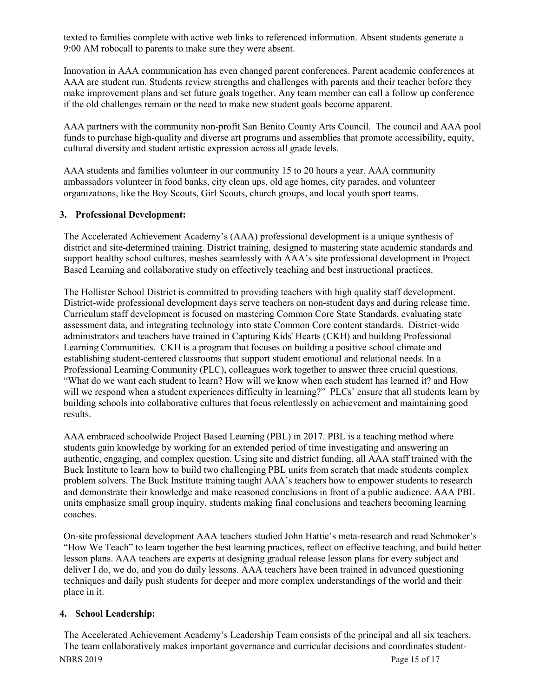texted to families complete with active web links to referenced information. Absent students generate a 9:00 AM robocall to parents to make sure they were absent.

Innovation in AAA communication has even changed parent conferences. Parent academic conferences at AAA are student run. Students review strengths and challenges with parents and their teacher before they make improvement plans and set future goals together. Any team member can call a follow up conference if the old challenges remain or the need to make new student goals become apparent.

AAA partners with the community non-profit San Benito County Arts Council. The council and AAA pool funds to purchase high-quality and diverse art programs and assemblies that promote accessibility, equity, cultural diversity and student artistic expression across all grade levels.

AAA students and families volunteer in our community 15 to 20 hours a year. AAA community ambassadors volunteer in food banks, city clean ups, old age homes, city parades, and volunteer organizations, like the Boy Scouts, Girl Scouts, church groups, and local youth sport teams.

#### **3. Professional Development:**

The Accelerated Achievement Academy's (AAA) professional development is a unique synthesis of district and site-determined training. District training, designed to mastering state academic standards and support healthy school cultures, meshes seamlessly with AAA's site professional development in Project Based Learning and collaborative study on effectively teaching and best instructional practices.

The Hollister School District is committed to providing teachers with high quality staff development. District-wide professional development days serve teachers on non-student days and during release time. Curriculum staff development is focused on mastering Common Core State Standards, evaluating state assessment data, and integrating technology into state Common Core content standards. District-wide administrators and teachers have trained in Capturing Kids' Hearts (CKH) and building Professional Learning Communities. CKH is a program that focuses on building a positive school climate and establishing student-centered classrooms that support student emotional and relational needs. In a Professional Learning Community (PLC), colleagues work together to answer three crucial questions. "What do we want each student to learn? How will we know when each student has learned it? and How will we respond when a student experiences difficulty in learning?" PLCs' ensure that all students learn by building schools into collaborative cultures that focus relentlessly on achievement and maintaining good results.

AAA embraced schoolwide Project Based Learning (PBL) in 2017. PBL is a teaching method where students gain knowledge by working for an extended period of time investigating and answering an authentic, engaging, and complex question. Using site and district funding, all AAA staff trained with the Buck Institute to learn how to build two challenging PBL units from scratch that made students complex problem solvers. The Buck Institute training taught AAA's teachers how to empower students to research and demonstrate their knowledge and make reasoned conclusions in front of a public audience. AAA PBL units emphasize small group inquiry, students making final conclusions and teachers becoming learning coaches.

On-site professional development AAA teachers studied John Hattie's meta-research and read Schmoker's "How We Teach" to learn together the best learning practices, reflect on effective teaching, and build better lesson plans. AAA teachers are experts at designing gradual release lesson plans for every subject and deliver I do, we do, and you do daily lessons. AAA teachers have been trained in advanced questioning techniques and daily push students for deeper and more complex understandings of the world and their place in it.

## **4. School Leadership:**

NBRS 2019 Page 15 of 17 The Accelerated Achievement Academy's Leadership Team consists of the principal and all six teachers. The team collaboratively makes important governance and curricular decisions and coordinates student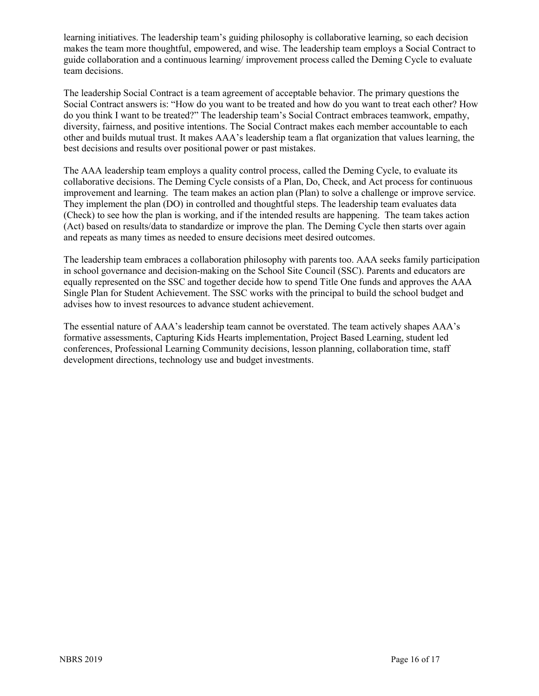learning initiatives. The leadership team's guiding philosophy is collaborative learning, so each decision makes the team more thoughtful, empowered, and wise. The leadership team employs a Social Contract to guide collaboration and a continuous learning/ improvement process called the Deming Cycle to evaluate team decisions.

The leadership Social Contract is a team agreement of acceptable behavior. The primary questions the Social Contract answers is: "How do you want to be treated and how do you want to treat each other? How do you think I want to be treated?" The leadership team's Social Contract embraces teamwork, empathy, diversity, fairness, and positive intentions. The Social Contract makes each member accountable to each other and builds mutual trust. It makes AAA's leadership team a flat organization that values learning, the best decisions and results over positional power or past mistakes.

The AAA leadership team employs a quality control process, called the Deming Cycle, to evaluate its collaborative decisions. The Deming Cycle consists of a Plan, Do, Check, and Act process for continuous improvement and learning. The team makes an action plan (Plan) to solve a challenge or improve service. They implement the plan (DO) in controlled and thoughtful steps. The leadership team evaluates data (Check) to see how the plan is working, and if the intended results are happening. The team takes action (Act) based on results/data to standardize or improve the plan. The Deming Cycle then starts over again and repeats as many times as needed to ensure decisions meet desired outcomes.

The leadership team embraces a collaboration philosophy with parents too. AAA seeks family participation in school governance and decision-making on the School Site Council (SSC). Parents and educators are equally represented on the SSC and together decide how to spend Title One funds and approves the AAA Single Plan for Student Achievement. The SSC works with the principal to build the school budget and advises how to invest resources to advance student achievement.

The essential nature of AAA's leadership team cannot be overstated. The team actively shapes AAA's formative assessments, Capturing Kids Hearts implementation, Project Based Learning, student led conferences, Professional Learning Community decisions, lesson planning, collaboration time, staff development directions, technology use and budget investments.